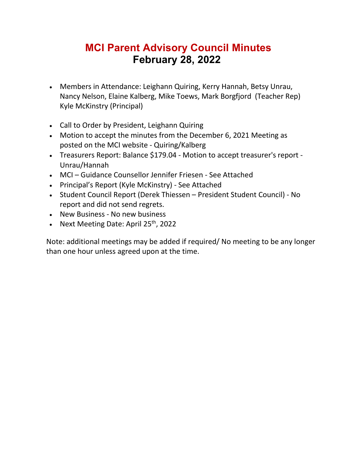## **MCI Parent Advisory Council Minutes February 28, 2022**

- Members in Attendance: Leighann Quiring, Kerry Hannah, Betsy Unrau, Nancy Nelson, Elaine Kalberg, Mike Toews, Mark Borgfjord (Teacher Rep) Kyle McKinstry (Principal)
- Call to Order by President, Leighann Quiring
- Motion to accept the minutes from the December 6, 2021 Meeting as posted on the MCI website - Quiring/Kalberg
- Treasurers Report: Balance \$179.04 Motion to accept treasurer's report Unrau/Hannah
- MCI Guidance Counsellor Jennifer Friesen See Attached
- Principal's Report (Kyle McKinstry) See Attached
- Student Council Report (Derek Thiessen President Student Council) No report and did not send regrets.
- New Business No new business
- Next Meeting Date: April 25<sup>th</sup>, 2022

Note: additional meetings may be added if required/ No meeting to be any longer than one hour unless agreed upon at the time.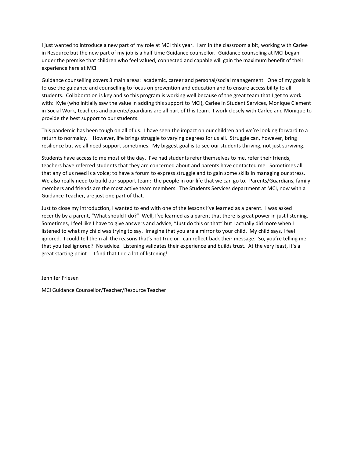I just wanted to introduce a new part of my role at MCI this year. I am in the classroom a bit, working with Carlee in Resource but the new part of my job is a half-time Guidance counsellor. Guidance counseling at MCI began under the premise that children who feel valued, connected and capable will gain the maximum benefit of their experience here at MCI.

Guidance counselling covers 3 main areas: academic, career and personal/social management. One of my goals is to use the guidance and counselling to focus on prevention and education and to ensure accessibility to all students. Collaboration is key and so this program is working well because of the great team that I get to work with: Kyle (who initially saw the value in adding this support to MCI), Carlee in Student Services, Monique Clement in Social Work, teachers and parents/guardians are all part of this team. I work closely with Carlee and Monique to provide the best support to our students.

This pandemic has been tough on all of us. I have seen the impact on our children and we're looking forward to a return to normalcy. However, life brings struggle to varying degrees for us all. Struggle can, however, bring resilience but we all need support sometimes. My biggest goal is to see our students thriving, not just surviving.

Students have access to me most of the day. I've had students refer themselves to me, refer their friends, teachers have referred students that they are concerned about and parents have contacted me. Sometimes all that any of us need is a voice; to have a forum to express struggle and to gain some skills in managing our stress. We also really need to build our support team: the people in our life that we can go to. Parents/Guardians, family members and friends are the most active team members. The Students Services department at MCI, now with a Guidance Teacher, are just one part of that.

Just to close my introduction, I wanted to end with one of the lessons I've learned as a parent. I was asked recently by a parent, "What should I do?" Well, I've learned as a parent that there is great power in just listening. Sometimes, I feel like I have to give answers and advice, "Just do this or that" but I actually did more when I listened to what my child was trying to say. Imagine that you are a mirror to your child. My child says, I feel ignored. I could tell them all the reasons that's not true or I can reflect back their message. So, you're telling me that you feel ignored? No advice. Listening validates their experience and builds trust. At the very least, it's a great starting point. I find that I do a lot of listening!

Jennifer Friesen

MCI Guidance Counsellor/Teacher/Resource Teacher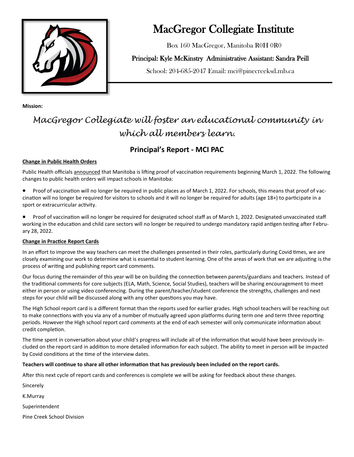

# MacGregor Collegiate Institute

Box 160 MacGregor, Manitoba R0H 0R0

### Principal: Kyle McKinstry Administrative Assistant: Sandra Peill

School: 204-685-2047 Email: mci@pinecreeksd.mb.ca

**Mission:** 

# *MacGregor Collegiate will foster an educational community in which all members learn.*

## **Principal's Report - MCI PAC**

### **Change in Public Health Orders**

Public Health officials [announced](http://track.spe.schoolmessenger.com/f/a/mjhTeDXRkyOiFa_j2J8Ddg~~/AAAAAQA~/RgRj-RnSP0RDaHR0cHM6Ly9uZXdzLmdvdi5tYi5jYS9uZXdzL2luZGV4Lmh0bWw_aXRlbT01MzU1NyZwb3N0ZWQ9MjAyMi0wMi0yNFcHc2Nob29sbUIKYhZS5hdiQAMZhVIca21ja2luc3RyeUBwaW5lY3JlZWtzZC5tYi5jYVgEAAAAAg~~) that Manitoba is lifting proof of vaccination requirements beginning March 1, 2022. The following changes to public health orders will impact schools in Manitoba:

- Proof of vaccination will no longer be required in public places as of March 1, 2022. For schools, this means that proof of vaccination will no longer be required for visitors to schools and it will no longer be required for adults (age 18+) to participate in a sport or extracurricular activity.
- Proof of vaccination will no longer be required for designated school staff as of March 1, 2022. Designated unvaccinated staff working in the education and child care sectors will no longer be required to undergo mandatory rapid antigen testing after February 28, 2022.

### **Change in Practice Report Cards**

In an effort to improve the way teachers can meet the challenges presented in their roles, particularly during Covid times, we are closely examining our work to determine what is essential to student learning. One of the areas of work that we are adjusting is the process of writing and publishing report card comments.

Our focus during the remainder of this year will be on building the connection between parents/guardians and teachers. Instead of the traditional comments for core subjects (ELA, Math, Science, Social Studies), teachers will be sharing encouragement to meet either in person or using video conferencing. During the parent/teacher/student conference the strengths, challenges and next steps for your child will be discussed along with any other questions you may have.

The High School report card is a different format than the reports used for earlier grades. High school teachers will be reaching out to make connections with you via any of a number of mutually agreed upon platforms during term one and term three reporting periods. However the High school report card comments at the end of each semester will only communicate information about credit completion.

The time spent in conversation about your child's progress will include all of the information that would have been previously included on the report card in addition to more detailed information for each subject. The ability to meet in person will be impacted by Covid conditions at the time of the interview dates.

#### **Teachers will continue to share all other information that has previously been included on the report cards.**

After this next cycle of report cards and conferences is complete we will be asking for feedback about these changes.

Sincerely

K.Murray

Superintendent

Pine Creek School Division